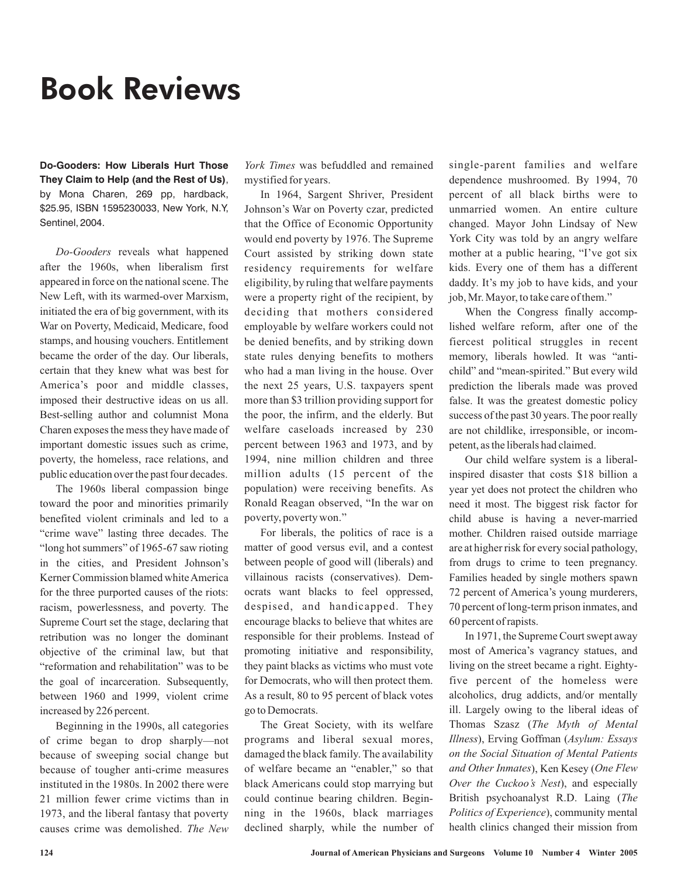## Book Reviews

**Do-Gooders: How Liberals Hurt Those They Claim to Help (and the Rest of Us)**, by Mona Charen, 269 pp, hardback, \$25.95, ISBN 1595230033, New York, N.Y, Sentinel, 2004.

Do-Gooders reveals what happened after the 1960s, when liberalism first appeared in force on the national scene. The New Left, with its warmed-over Marxism, initiated the era of big government, with its War on Poverty, Medicaid, Medicare, food stamps, and housing vouchers. Entitlement became the order of the day. Our liberals, certain that they knew what was best for America's poor and middle classes, imposed their destructive ideas on us all. Best-selling author and columnist Mona Charen exposes the mess they have made of important domestic issues such as crime, poverty, the homeless, race relations, and public education over the past four decades.

The 1960s liberal compassion binge toward the poor and minorities primarily benefited violent criminals and led to a "crime wave" lasting three decades. The "long hot summers" of 1965-67 saw rioting in the cities, and President Johnson's Kerner Commission blamed whiteAmerica for the three purported causes of the riots: racism, powerlessness, and poverty. The Supreme Court set the stage, declaring that retribution was no longer the dominant objective of the criminal law, but that "reformation and rehabilitation" was to be the goal of incarceration. Subsequently, between 1960 and 1999, violent crime increased by 226 percent.

Beginning in the 1990s, all categories of crime began to drop sharply—not because of sweeping social change but because of tougher anti-crime measures instituted in the 1980s. In 2002 there were 21 million fewer crime victims than in 1973, and the liberal fantasy that poverty causes crime was demolished. *The New*

*York Times* was befuddled and remained mystified for years.

In 1964, Sargent Shriver, President Johnson's War on Poverty czar, predicted that the Office of Economic Opportunity would end poverty by 1976. The Supreme Court assisted by striking down state residency requirements for welfare eligibility, by ruling that welfare payments were a property right of the recipient, by deciding that mothers considered employable by welfare workers could not be denied benefits, and by striking down state rules denying benefits to mothers who had a man living in the house. Over the next 25 years, U.S. taxpayers spent more than \$3 trillion providing support for the poor, the infirm, and the elderly. But welfare caseloads increased by 230 percent between 1963 and 1973, and by 1994, nine million children and three million adults (15 percent of the population) were receiving benefits. As Ronald Reagan observed, "In the war on poverty, poverty won."

For liberals, the politics of race is a matter of good versus evil, and a contest between people of good will (liberals) and villainous racists (conservatives). Democrats want blacks to feel oppressed, despised, and handicapped. They encourage blacks to believe that whites are responsible for their problems. Instead of promoting initiative and responsibility, they paint blacks as victims who must vote for Democrats, who will then protect them. As a result, 80 to 95 percent of black votes go to Democrats.

The Great Society, with its welfare programs and liberal sexual mores, damaged the black family. The availability of welfare became an "enabler," so that black Americans could stop marrying but could continue bearing children. Beginning in the 1960s, black marriages declined sharply, while the number of single-parent families and welfare dependence mushroomed. By 1994, 70 percent of all black births were to unmarried women. An entire culture changed. Mayor John Lindsay of New York City was told by an angry welfare mother at a public hearing, "I've got six kids. Every one of them has a different daddy. It's my job to have kids, and your job, Mr. Mayor, to take care of them."

When the Congress finally accomplished welfare reform, after one of the fiercest political struggles in recent memory, liberals howled. It was "antichild" and "mean-spirited." But every wild prediction the liberals made was proved false. It was the greatest domestic policy success of the past 30 years. The poor really are not childlike, irresponsible, or incompetent, as the liberals had claimed.

Our child welfare system is a liberalinspired disaster that costs \$18 billion a year yet does not protect the children who need it most. The biggest risk factor for child abuse is having a never-married mother. Children raised outside marriage are at higher risk for every social pathology, from drugs to crime to teen pregnancy. Families headed by single mothers spawn 72 percent of America's young murderers, 70 percent of long-term prison inmates, and 60 percent of rapists.

In 1971, the Supreme Court swept away most of America's vagrancy statues, and living on the street became a right. Eightyfive percent of the homeless were alcoholics, drug addicts, and/or mentally ill. Largely owing to the liberal ideas of Thomas Szasz ( *The Myth of Mental Illness*), Erving Goffman (Asylum: Essays and Other Inmates), Ken Kesey (One Flew Over the Cuckoo's Nest), and especially British psychoanalyst R.D. Laing ( *The* Politics of Experience), community mental health clinics changed their mission from *on the Social Situation of Mental Patients*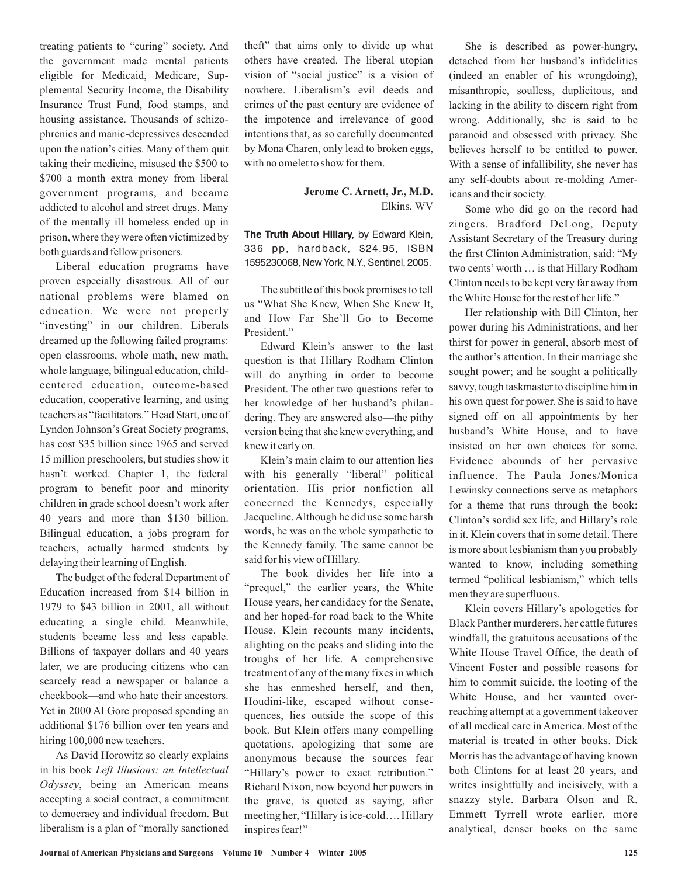treating patients to "curing" society. And the government made mental patients eligible for Medicaid, Medicare, Supplemental Security Income, the Disability Insurance Trust Fund, food stamps, and housing assistance. Thousands of schizophrenics and manic-depressives descended upon the nation's cities. Many of them quit taking their medicine, misused the \$500 to \$700 a month extra money from liberal government programs, and became addicted to alcohol and street drugs. Many of the mentally ill homeless ended up in prison, where they were often victimized by both guards and fellow prisoners.

Liberal education programs have proven especially disastrous. All of our national problems were blamed on education. We were not properly "investing" in our children. Liberals dreamed up the following failed programs: open classrooms, whole math, new math, whole language, bilingual education, childcentered education, outcome-based education, cooperative learning, and using teachers as "facilitators." Head Start, one of Lyndon Johnson's Great Society programs, has cost \$35 billion since 1965 and served 15 million preschoolers, but studies show it hasn't worked. Chapter 1, the federal program to benefit poor and minority children in grade school doesn't work after 40 years and more than \$130 billion. Bilingual education, a jobs program for teachers, actually harmed students by delaying their learning of English.

The budget of the federal Department of Education increased from \$14 billion in 1979 to \$43 billion in 2001, all without educating a single child. Meanwhile, students became less and less capable. Billions of taxpayer dollars and 40 years later, we are producing citizens who can scarcely read a newspaper or balance a checkbook—and who hate their ancestors. Yet in 2000 Al Gore proposed spending an additional \$176 billion over ten years and hiring 100,000 new teachers.

As David Horowitz so clearly explains in his book *Left Illusions: an Intellectual* , being an American means *Odyssey* accepting a social contract, a commitment to democracy and individual freedom. But liberalism is a plan of "morally sanctioned theft" that aims only to divide up what others have created. The liberal utopian vision of "social justice" is a vision of nowhere. Liberalism's evil deeds and crimes of the past century are evidence of the impotence and irrelevance of good intentions that, as so carefully documented by Mona Charen, only lead to broken eggs, with no omelet to show for them.

> Elkins, WV **Jerome C. Arnett, Jr., M.D.**

**The Truth About Hillary***,* by Edward Klein, 336 pp, hardback, \$24.95, ISBN 1595230068, New York, N.Y., Sentinel, 2005.

The subtitle of this book promises to tell us "What She Knew, When She Knew It, and How Far She'll Go to Become President."

Edward Klein's answer to the last question is that Hillary Rodham Clinton will do anything in order to become President. The other two questions refer to her knowledge of her husband's philandering. They are answered also—the pithy version being that she knew everything, and knew it early on.

Klein's main claim to our attention lies with his generally "liberal" political orientation. His prior nonfiction all concerned the Kennedys, especially Jacqueline.Although he did use some harsh words, he was on the whole sympathetic to the Kennedy family. The same cannot be said for his view of Hillary.

The book divides her life into a "prequel," the earlier years, the White House years, her candidacy for the Senate, and her hoped-for road back to the White House. Klein recounts many incidents, alighting on the peaks and sliding into the troughs of her life. A comprehensive treatment of any of the many fixes in which she has enmeshed herself, and then, Houdini-like, escaped without consequences, lies outside the scope of this book. But Klein offers many compelling quotations, apologizing that some are anonymous because the sources fear "Hillary's power to exact retribution." Richard Nixon, now beyond her powers in the grave, is quoted as saying, after meeting her, "Hillary is ice-cold…. Hillary inspires fear!"

She is described as power-hungry, detached from her husband's infidelities (indeed an enabler of his wrongdoing), misanthropic, soulless, duplicitous, and lacking in the ability to discern right from wrong. Additionally, she is said to be paranoid and obsessed with privacy. She believes herself to be entitled to power. With a sense of infallibility, she never has any self-doubts about re-molding Americans and their society.

Some who did go on the record had zingers. Bradford DeLong, Deputy Assistant Secretary of the Treasury during the first Clinton Administration, said: "My two cents' worth … is that Hillary Rodham Clinton needs to be kept very far away from theWhite House for the rest of her life."

Her relationship with Bill Clinton, her power during his Administrations, and her thirst for power in general, absorb most of the author's attention. In their marriage she sought power; and he sought a politically savvy, tough taskmaster to discipline him in his own quest for power. She is said to have signed off on all appointments by her husband's White House, and to have insisted on her own choices for some. Evidence abounds of her pervasive influence. The Paula Jones/Monica Lewinsky connections serve as metaphors for a theme that runs through the book: Clinton's sordid sex life, and Hillary's role in it. Klein covers that in some detail. There is more about lesbianism than you probably wanted to know, including something termed "political lesbianism," which tells men they are superfluous.

Klein covers Hillary's apologetics for Black Panther murderers, her cattle futures windfall, the gratuitous accusations of the White House Travel Office, the death of Vincent Foster and possible reasons for him to commit suicide, the looting of the White House, and her vaunted overreaching attempt at a government takeover of all medical care in America. Most of the material is treated in other books. Dick Morris has the advantage of having known both Clintons for at least 20 years, and writes insightfully and incisively, with a snazzy style. Barbara Olson and R. Emmett Tyrrell wrote earlier, more analytical, denser books on the same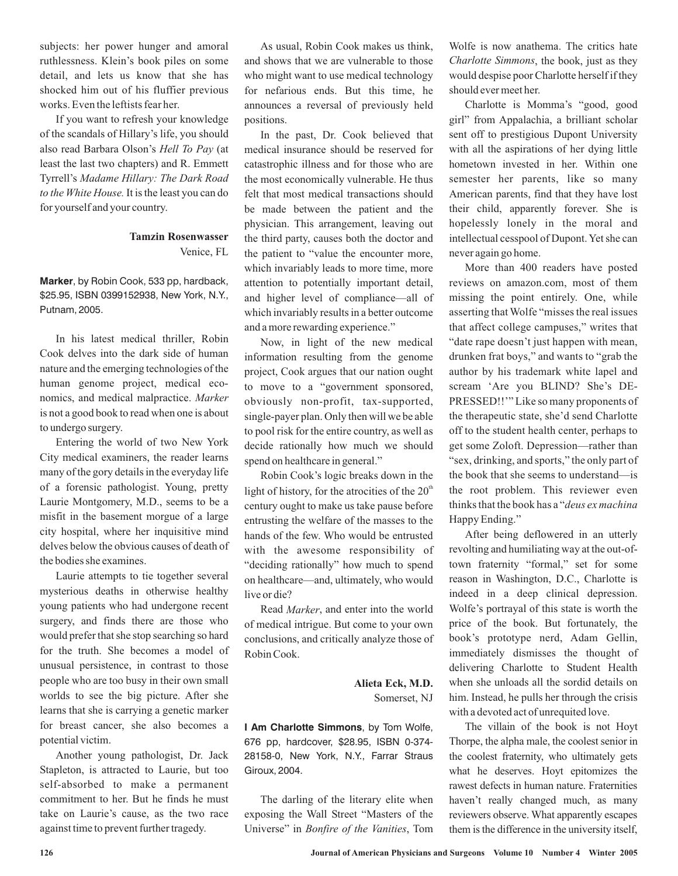subjects: her power hunger and amoral ruthlessness. Klein's book piles on some detail, and lets us know that she has shocked him out of his fluffier previous works. Even the leftists fear her.

If you want to refresh your knowledge of the scandals of Hillary's life, you should also read Barbara Olson's *Hell To Pay* (at least the last two chapters) and R. Emmett Tyrrell's *Madame Hillary: The Dark Road* to the White House. It is the least you can do for yourself and your country.

## Venice, FL **Tamzin Rosenwasser**

**Marker**, by Robin Cook, 533 pp, hardback, \$25.95, ISBN 0399152938, New York, N.Y., Putnam, 2005.

In his latest medical thriller, Robin Cook delves into the dark side of human nature and the emerging technologies of the human genome project, medical economics, and medical malpractice. *Marker* is not a good book to read when one is about to undergo surgery.

Entering the world of two New York City medical examiners, the reader learns many of the gory details in the everyday life of a forensic pathologist. Young, pretty Laurie Montgomery, M.D., seems to be a misfit in the basement morgue of a large city hospital, where her inquisitive mind delves below the obvious causes of death of the bodies she examines.

Laurie attempts to tie together several mysterious deaths in otherwise healthy young patients who had undergone recent surgery, and finds there are those who would prefer that she stop searching so hard for the truth. She becomes a model of unusual persistence, in contrast to those people who are too busy in their own small worlds to see the big picture. After she learns that she is carrying a genetic marker for breast cancer, she also becomes a potential victim.

Another young pathologist, Dr. Jack Stapleton, is attracted to Laurie, but too self-absorbed to make a permanent commitment to her. But he finds he must take on Laurie's cause, as the two race against time to prevent further tragedy.

As usual, Robin Cook makes us think, and shows that we are vulnerable to those who might want to use medical technology for nefarious ends. But this time, he announces a reversal of previously held positions.

In the past, Dr. Cook believed that medical insurance should be reserved for catastrophic illness and for those who are the most economically vulnerable. He thus felt that most medical transactions should be made between the patient and the physician. This arrangement, leaving out the third party, causes both the doctor and the patient to "value the encounter more, which invariably leads to more time, more attention to potentially important detail, and higher level of compliance—all of which invariably results in a better outcome and a more rewarding experience."

Now, in light of the new medical information resulting from the genome project, Cook argues that our nation ought to move to a "government sponsored, obviously non-profit, tax-supported, single-payer plan. Only then will we be able to pool risk for the entire country, as well as decide rationally how much we should spend on healthcare in general."

Robin Cook's logic breaks down in the light of history, for the atrocities of the  $20<sup>th</sup>$ century ought to make us take pause before entrusting the welfare of the masses to the hands of the few. Who would be entrusted with the awesome responsibility of "deciding rationally" how much to spend on healthcare—and, ultimately, who would live or die?

Read *Marker*, and enter into the world of medical intrigue. But come to your own conclusions, and critically analyze those of Robin Cook.

## Somerset, NJ **Alieta Eck, M.D.**

**I Am Charlotte Simmons**, by Tom Wolfe, 676 pp, hardcover, \$28.95, ISBN 0-374- 28158-0, New York, N.Y., Farrar Straus Giroux, 2004.

The darling of the literary elite when exposing the Wall Street "Masters of the Universe" in *Bonfire of the Vanities*, Tom

Wolfe is now anathema. The critics hate Charlotte Simmons, the book, just as they would despise poor Charlotte herself if they should ever meet her.

Charlotte is Momma's "good, good girl" from Appalachia, a brilliant scholar sent off to prestigious Dupont University with all the aspirations of her dying little hometown invested in her. Within one semester her parents, like so many American parents, find that they have lost their child, apparently forever. She is hopelessly lonely in the moral and intellectual cesspool of Dupont. Yet she can never again go home.

More than 400 readers have posted reviews on amazon.com, most of them missing the point entirely. One, while asserting thatWolfe "misses the real issues that affect college campuses," writes that "date rape doesn't just happen with mean, drunken frat boys," and wants to "grab the author by his trademark white lapel and scream 'Are you BLIND? She's DE-PRESSED!!'" Like so many proponents of the therapeutic state, she'd send Charlotte off to the student health center, perhaps to get some Zoloft. Depression—rather than "sex, drinking, and sports," the only part of the book that she seems to understand—is the root problem. This reviewer even thinks that the book has a " *deus ex machina* Happy Ending."

After being deflowered in an utterly revolting and humiliating way at the out-oftown fraternity "formal," set for some reason in Washington, D.C., Charlotte is indeed in a deep clinical depression. Wolfe's portrayal of this state is worth the price of the book. But fortunately, the book's prototype nerd, Adam Gellin, immediately dismisses the thought of delivering Charlotte to Student Health when she unloads all the sordid details on him. Instead, he pulls her through the crisis with a devoted act of unrequited love.

The villain of the book is not Hoyt Thorpe, the alpha male, the coolest senior in the coolest fraternity, who ultimately gets what he deserves. Hoyt epitomizes the rawest defects in human nature. Fraternities haven't really changed much, as many reviewers observe. What apparently escapes them is the difference in the university itself,